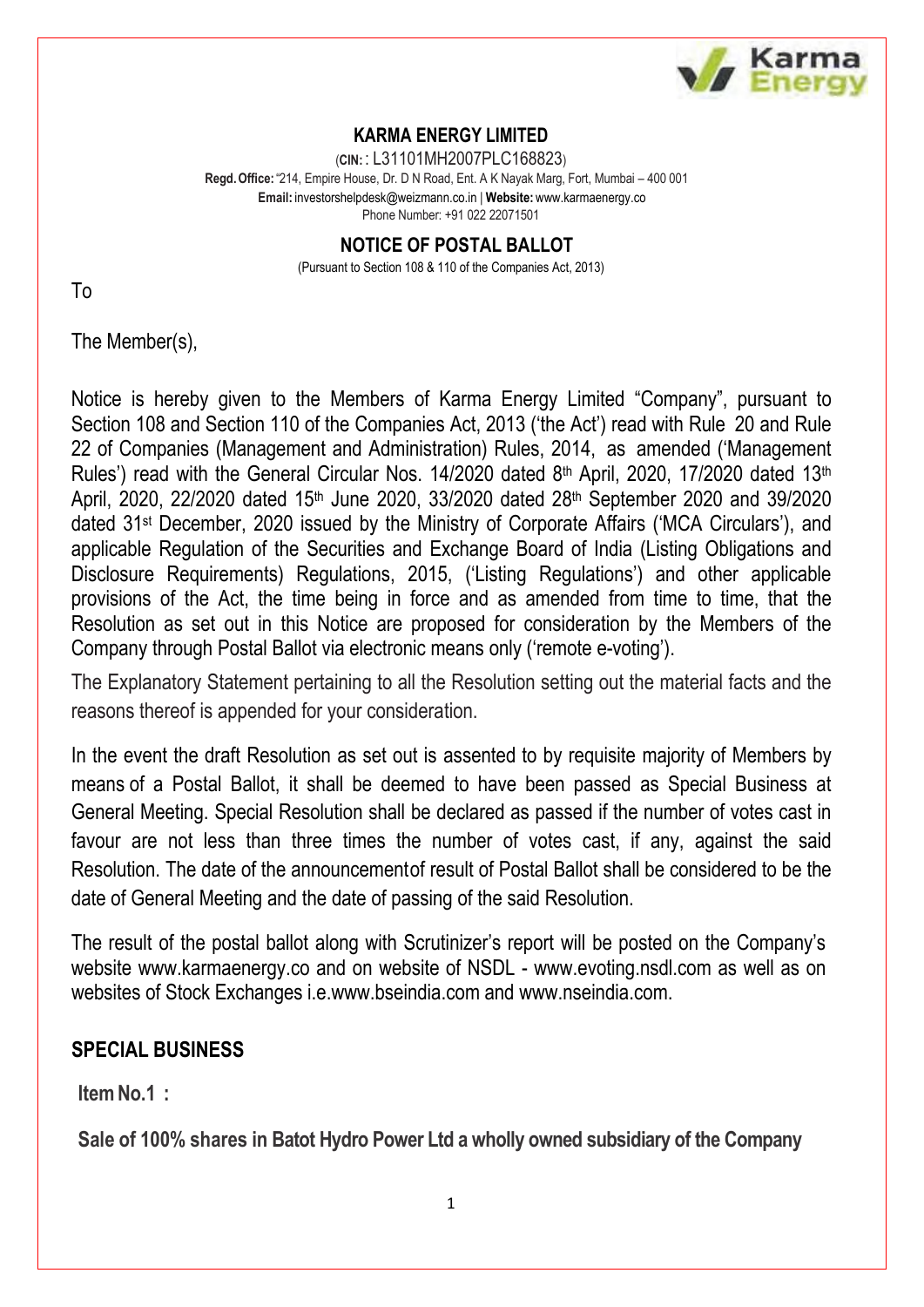

### **KARMA ENERGY LIMITED**

(**CIN:** : L31101MH2007PLC168823) **Regd.Office:**"214, Empire House, Dr. D N Road, Ent. A K Nayak Marg, Fort, Mumbai – 400 001 **Email:** [investorshelpdesk@weizmann.co.in](mailto:investorshelpdesk@weizmann.co.in) | **Website:** [www.karmaenergy.co](http://www.karmaenergy.co/) Phone Number: +91 022 22071501

> **NOTICE OF POSTAL BALLOT** (Pursuant to Section 108 & 110 of the Companies Act, 2013)

To

The Member(s),

Notice is hereby given to the Members of Karma Energy Limited "Company", pursuant to Section 108 and Section 110 of the Companies Act, 2013 ('the Act') read with Rule 20 and Rule 22 of Companies (Management and Administration) Rules, 2014, as amended ('Management Rules') read with the General Circular Nos.  $14/2020$  dated  $8<sup>th</sup>$  April, 2020, 17/2020 dated 13<sup>th</sup> April, 2020, 22/2020 dated 15th June 2020, 33/2020 dated 28th September 2020 and 39/2020 dated 31st December, 2020 issued by the Ministry of Corporate Affairs ('MCA Circulars'), and applicable Regulation of the Securities and Exchange Board of India (Listing Obligations and Disclosure Requirements) Regulations, 2015, ('Listing Regulations') and other applicable provisions of the Act, the time being in force and as amended from time to time, that the Resolution as set out in this Notice are proposed for consideration by the Members of the Company through Postal Ballot via electronic means only ('remote e-voting').

The Explanatory Statement pertaining to all the Resolution setting out the material facts and the reasons thereof is appended for your consideration.

In the event the draft Resolution as set out is assented to by requisite majority of Members by means of a Postal Ballot, it shall be deemed to have been passed as Special Business at General Meeting. Special Resolution shall be declared as passed if the number of votes cast in favour are not less than three times the number of votes cast, if any, against the said Resolution. The date of the announcementof result of Postal Ballot shall be considered to be the date of General Meeting and the date of passing of the said Resolution.

The result of the postal ballot along with Scrutinizer's report will be posted on the Company's website [www.karmaenergy.co a](http://www.karmaenergy.co/)nd on website of NSDL - [www.evoting.nsdl.com](http://www.evoting.nsdl.com/) as well as on websites of Stock Exchanges i.e[.www.bseindia.com](http://www.bseindia.com/) and [www.nseindia.com.](http://www.nseindia.com/)

# **SPECIAL BUSINESS**

**ItemNo.1 :**

**Sale of 100% shares in Batot Hydro Power Ltd a wholly owned subsidiary of the Company**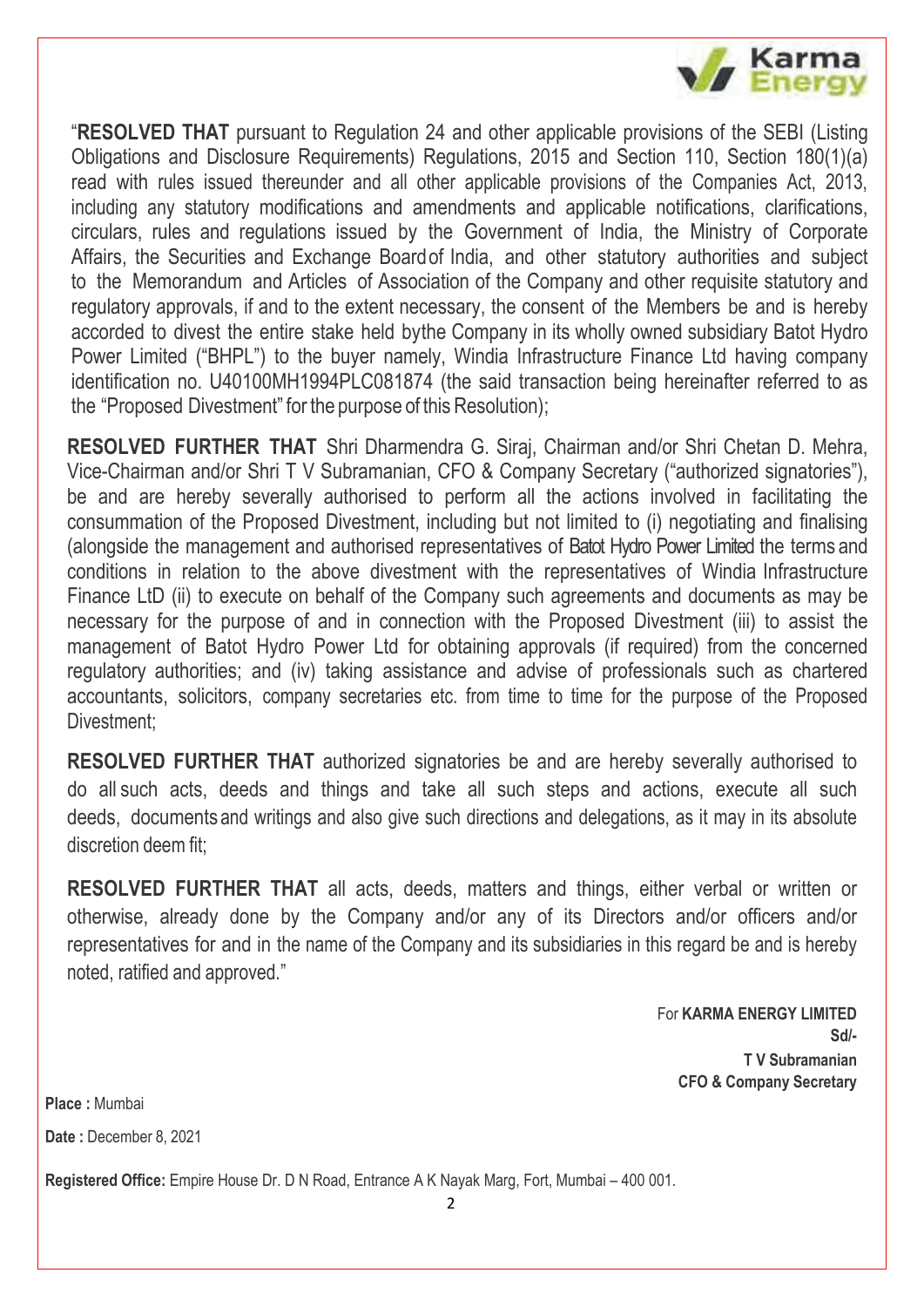

"**RESOLVED THAT** pursuant to Regulation 24 and other applicable provisions of the SEBI (Listing Obligations and Disclosure Requirements) Regulations, 2015 and Section 110, Section 180(1)(a) read with rules issued thereunder and all other applicable provisions of the Companies Act, 2013, including any statutory modifications and amendments and applicable notifications, clarifications, circulars, rules and regulations issued by the Government of India, the Ministry of Corporate Affairs, the Securities and Exchange Boardof India, and other statutory authorities and subject to the Memorandum and Articles of Association of the Company and other requisite statutory and regulatory approvals, if and to the extent necessary, the consent of the Members be and is hereby accorded to divest the entire stake held bythe Company in its wholly owned subsidiary Batot Hydro Power Limited ("BHPL") to the buyer namely, Windia Infrastructure Finance Ltd having company identification no. U40100MH1994PLC081874 (the said transaction being hereinafter referred to as the "Proposed Divestment" for the purpose of this Resolution);

**RESOLVED FURTHER THAT** Shri Dharmendra G. Siraj, Chairman and/or Shri Chetan D. Mehra, Vice-Chairman and/or Shri T V Subramanian, CFO & Company Secretary ("authorized signatories"), be and are hereby severally authorised to perform all the actions involved in facilitating the consummation of the Proposed Divestment, including but not limited to (i) negotiating and finalising (alongside the management and authorised representatives of Batot Hydro Power Limited the terms and conditions in relation to the above divestment with the representatives of Windia Infrastructure Finance LtD (ii) to execute on behalf of the Company such agreements and documents as may be necessary for the purpose of and in connection with the Proposed Divestment (iii) to assist the management of Batot Hydro Power Ltd for obtaining approvals (if required) from the concerned regulatory authorities; and (iv) taking assistance and advise of professionals such as chartered accountants, solicitors, company secretaries etc. from time to time for the purpose of the Proposed Divestment;

**RESOLVED FURTHER THAT** authorized signatories be and are hereby severally authorised to do all such acts, deeds and things and take all such steps and actions, execute all such deeds, documents and writings and also give such directions and delegations, as it may in its absolute discretion deem fit;

**RESOLVED FURTHER THAT** all acts, deeds, matters and things, either verbal or written or otherwise, already done by the Company and/or any of its Directors and/or officers and/or representatives for and in the name of the Company and its subsidiaries in this regard be and is hereby noted, ratified and approved."

> For **KARMA ENERGY LIMITED Sd/- T V Subramanian CFO & Company Secretary**

**Place :** Mumbai

**Date :** December 8, 2021

**Registered Office:** Empire House Dr. D N Road, Entrance A K Nayak Marg, Fort, Mumbai – 400 001.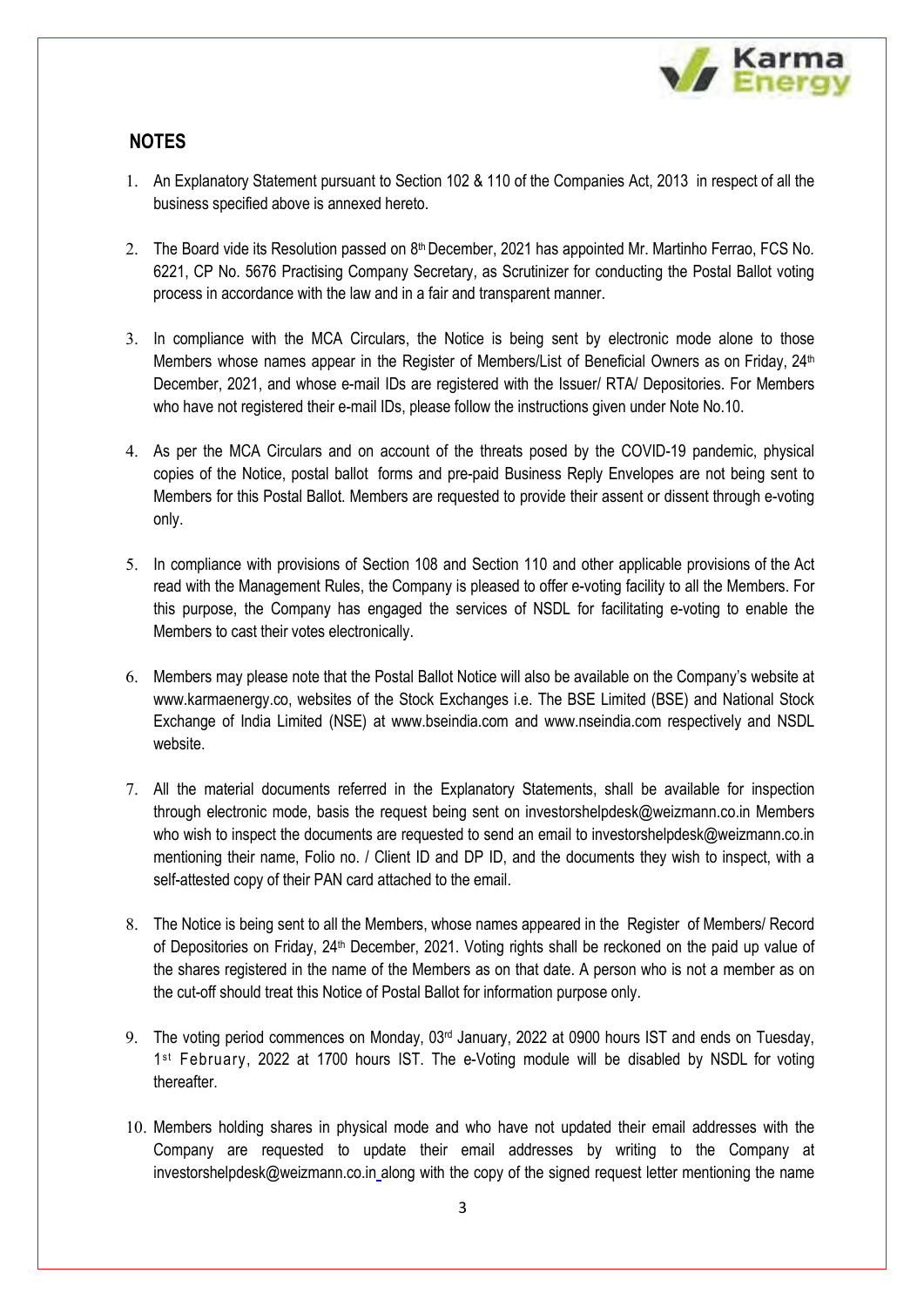

### **NOTES**

- 1. An Explanatory Statement pursuant to Section 102 & 110 of the Companies Act, 2013 in respect of all the business specified above is annexed hereto.
- 2. The Board vide its Resolution passed on  $8<sup>th</sup>$  December, 2021 has appointed Mr. Martinho Ferrao, FCS No. 6221, CP No. 5676 Practising Company Secretary, as Scrutinizer for conducting the Postal Ballot voting process in accordance with the law and in a fair and transparent manner.
- 3. In compliance with the MCA Circulars, the Notice is being sent by electronic mode alone to those Members whose names appear in the Register of Members/List of Beneficial Owners as on Friday, 24<sup>th</sup> December, 2021, and whose e-mail IDs are registered with the Issuer/ RTA/ Depositories. For Members who have not registered their e-mail IDs, please follow the instructions given under Note No.10.
- 4. As per the MCA Circulars and on account of the threats posed by the COVID-19 pandemic, physical copies of the Notice, postal ballot forms and pre-paid Business Reply Envelopes are not being sent to Members for this Postal Ballot. Members are requested to provide their assent or dissent through e-voting only.
- 5. In compliance with provisions of Section 108 and Section 110 and other applicable provisions of the Act read with the Management Rules, the Company is pleased to offer e-voting facility to all the Members. For this purpose, the Company has engaged the services of NSDL for facilitating e-voting to enable the Members to cast their votes electronically.
- 6. Members may please note that the Postal Ballot Notice will also be available on the Company's website at [www.karmaenergy.co,](http://www.karmaenergy.co,/) websites of the Stock Exchanges i.e. The BSE Limited (BSE) and National Stock Exchange of India Limited (NSE) at [www.bseindia.com a](http://www.bseindia.com/)nd [www.n](http://www/)seindia.com respectively and NSDL website.
- 7. All the material documents referred in the Explanatory Statements, shall be available for inspection through electronic mode, basis the request being sent [on investorshelpdesk@weizmann.co.in](mailto:on%20investorshelpdesk@weizmann.co.in) Members who wish to inspect the documents are requested to send an email to investorshelpdesk@weizmann.co.in mentioning their name, Folio no. / Client ID and DP ID, and the documents they wish to inspect, with a self-attested copy of their PAN card attached to the email.
- 8. The Notice is being sent to all the Members, whose names appeared in the Register of Members/ Record of Depositories on Friday, 24<sup>th</sup> December, 2021. Voting rights shall be reckoned on the paid up value of the shares registered in the name of the Members as on that date. A person who is not a member as on the cut-off should treat this Notice of Postal Ballot for information purpose only.
- 9. The voting period commences on Monday, 03<sup>rd</sup> January, 2022 at 0900 hours IST and ends on Tuesday, 1<sup>st</sup> February, 2022 at 1700 hours IST. The e-Voting module will be disabled by NSDL for voting thereafter.
- 10. Members holding shares in physical mode and who have not updated their email addresses with the Company are requested to update their email addresses by writing to the Company at [investorshelpdesk@weizmann.co.in](mailto:investorshelpdesk@weizmann.co.in) along with the copy of the signed request letter mentioning the name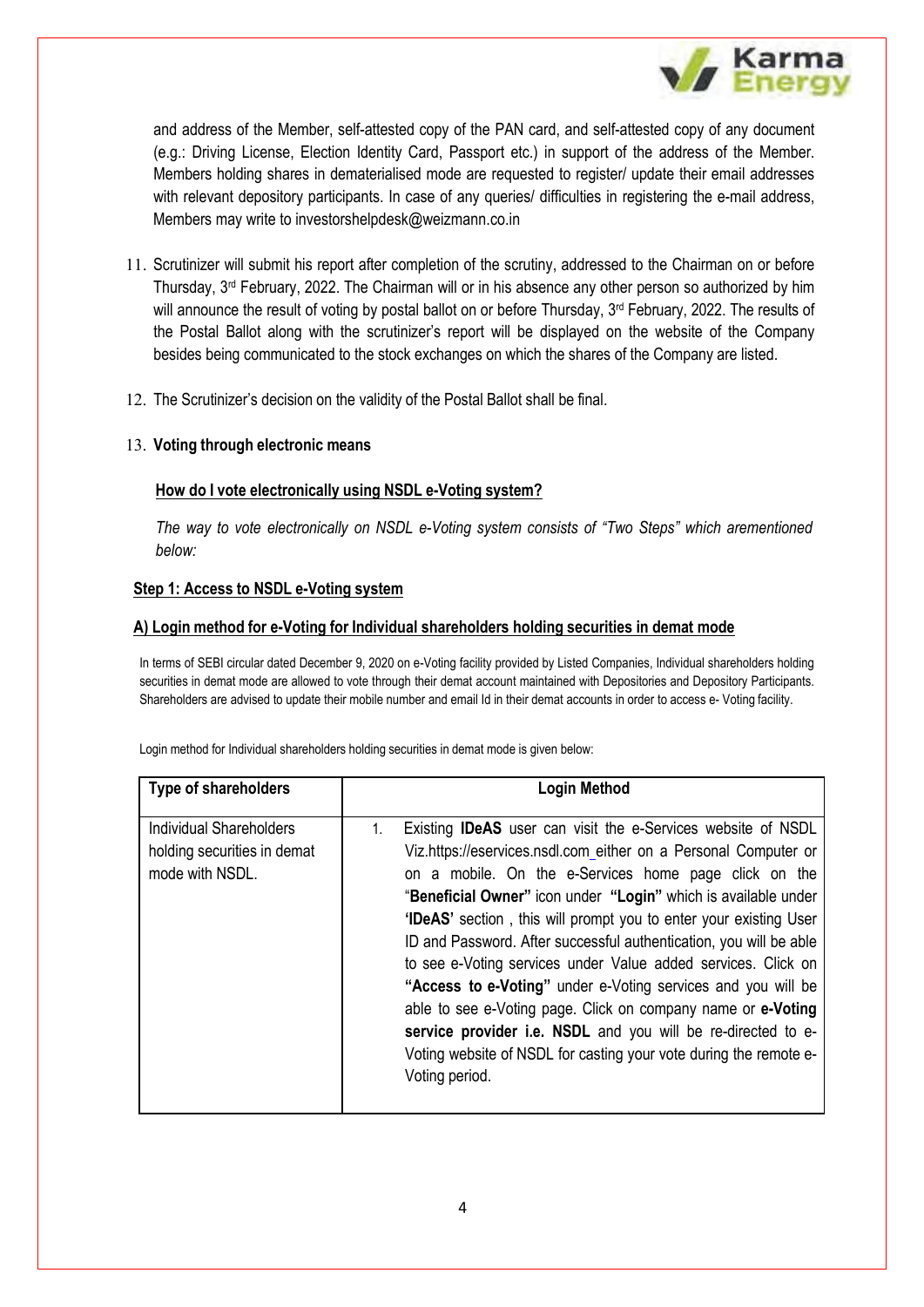

and address of the Member, self-attested copy of the PAN card, and self-attested copy of any document (e.g.: Driving License, Election Identity Card, Passport etc.) in support of the address of the Member. Members holding shares in dematerialised mode are requested to register/ update their email addresses with relevant depository participants. In case of any queries/ difficulties in registering the e-mail address, Members may write to [investorshelpdesk@weizmann.co.in](mailto:investorshelpdesk@weizmann.co.in)

- 11. Scrutinizer will submit his report after completion of the scrutiny, addressed to the Chairman on or before Thursday,  $3<sup>rd</sup>$  February, 2022. The Chairman will or in his absence any other person so authorized by him will announce the result of voting by postal ballot on or before Thursday,  $3^{rd}$  February, 2022. The results of the Postal Ballot along with the scrutinizer's report will be displayed on the website of the Company besides being communicated to the stock exchanges on which the shares of the Company are listed.
- 12. The Scrutinizer's decision on the validity of the Postal Ballot shall be final.

#### 13. **Voting through electronic means**

#### **How do I vote electronically using NSDL e-Voting system?**

*The way to vote electronically on NSDL e-Voting system consists of "Two Steps" which arementioned below:*

#### **Step 1: Access to NSDL e-Voting system**

#### **A) Login method for e-Voting for Individual shareholders holding securities in demat mode**

In terms of SEBI circular dated December 9, 2020 on e-Voting facility provided by Listed Companies, Individual shareholders holding securities in demat mode are allowed to vote through their demat account maintained with Depositories and Depository Participants. Shareholders are advised to update their mobile number and email Id in their demat accounts in order to access e- Voting facility.

| <b>Type of shareholders</b>                                                      | <b>Login Method</b>                                                                                                                                                                                                                                                                                                                                                                                                                                                                                                                                                                                                                                                                                                                                                               |
|----------------------------------------------------------------------------------|-----------------------------------------------------------------------------------------------------------------------------------------------------------------------------------------------------------------------------------------------------------------------------------------------------------------------------------------------------------------------------------------------------------------------------------------------------------------------------------------------------------------------------------------------------------------------------------------------------------------------------------------------------------------------------------------------------------------------------------------------------------------------------------|
| <b>Individual Shareholders</b><br>holding securities in demat<br>mode with NSDL. | Existing <b>IDeAS</b> user can visit the e-Services website of NSDL<br>1.<br>Viz.https://eservices.nsdl.com either on a Personal Computer or<br>on a mobile. On the e-Services home page click on the<br>"Beneficial Owner" icon under "Login" which is available under<br><b>'IDeAS'</b> section, this will prompt you to enter your existing User<br>ID and Password. After successful authentication, you will be able<br>to see e-Voting services under Value added services. Click on<br>"Access to e-Voting" under e-Voting services and you will be<br>able to see e-Voting page. Click on company name or e-Voting<br>service provider i.e. NSDL and you will be re-directed to e-<br>Voting website of NSDL for casting your vote during the remote e-<br>Voting period. |

Login method for Individual shareholders holding securities in demat mode is given below: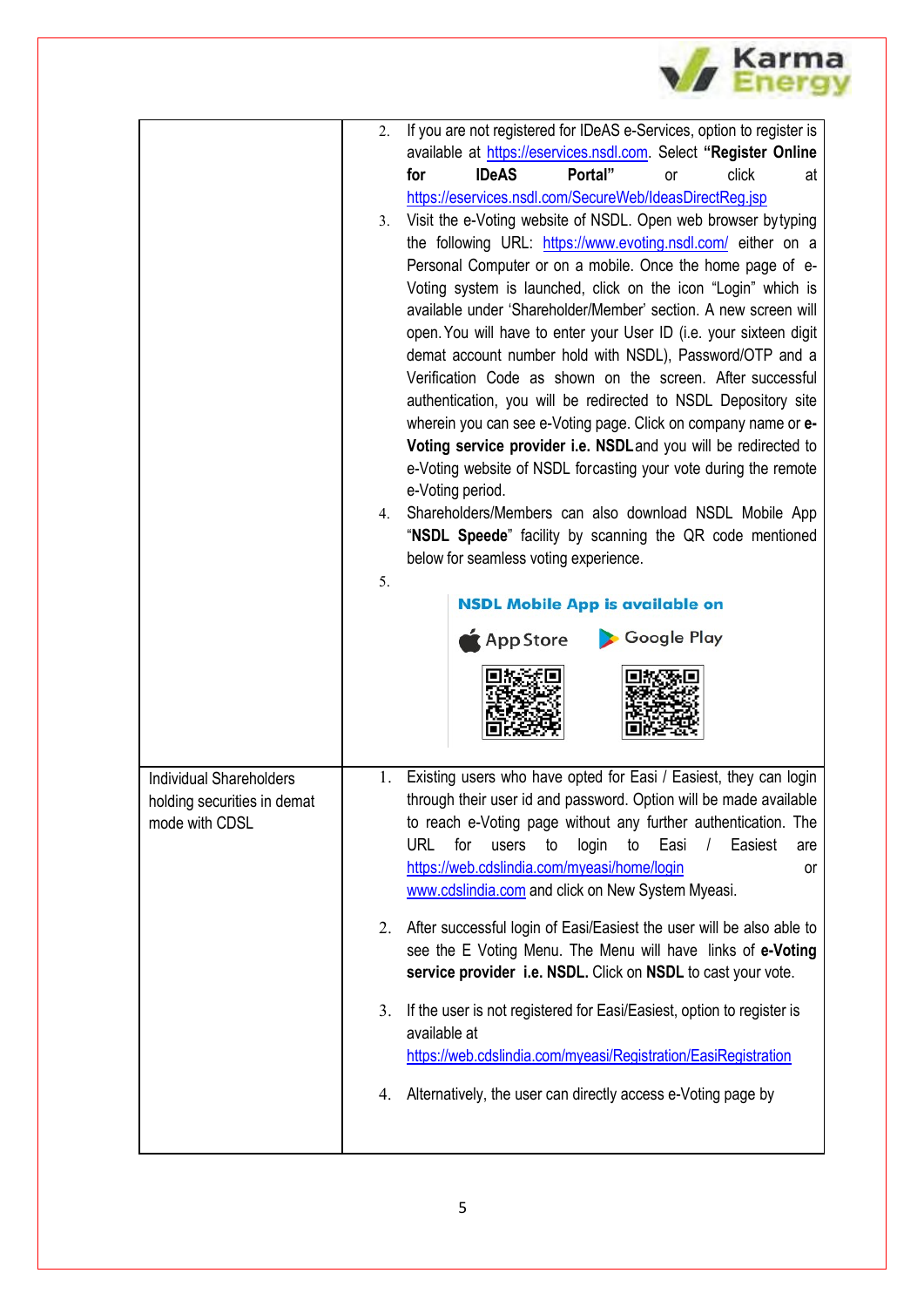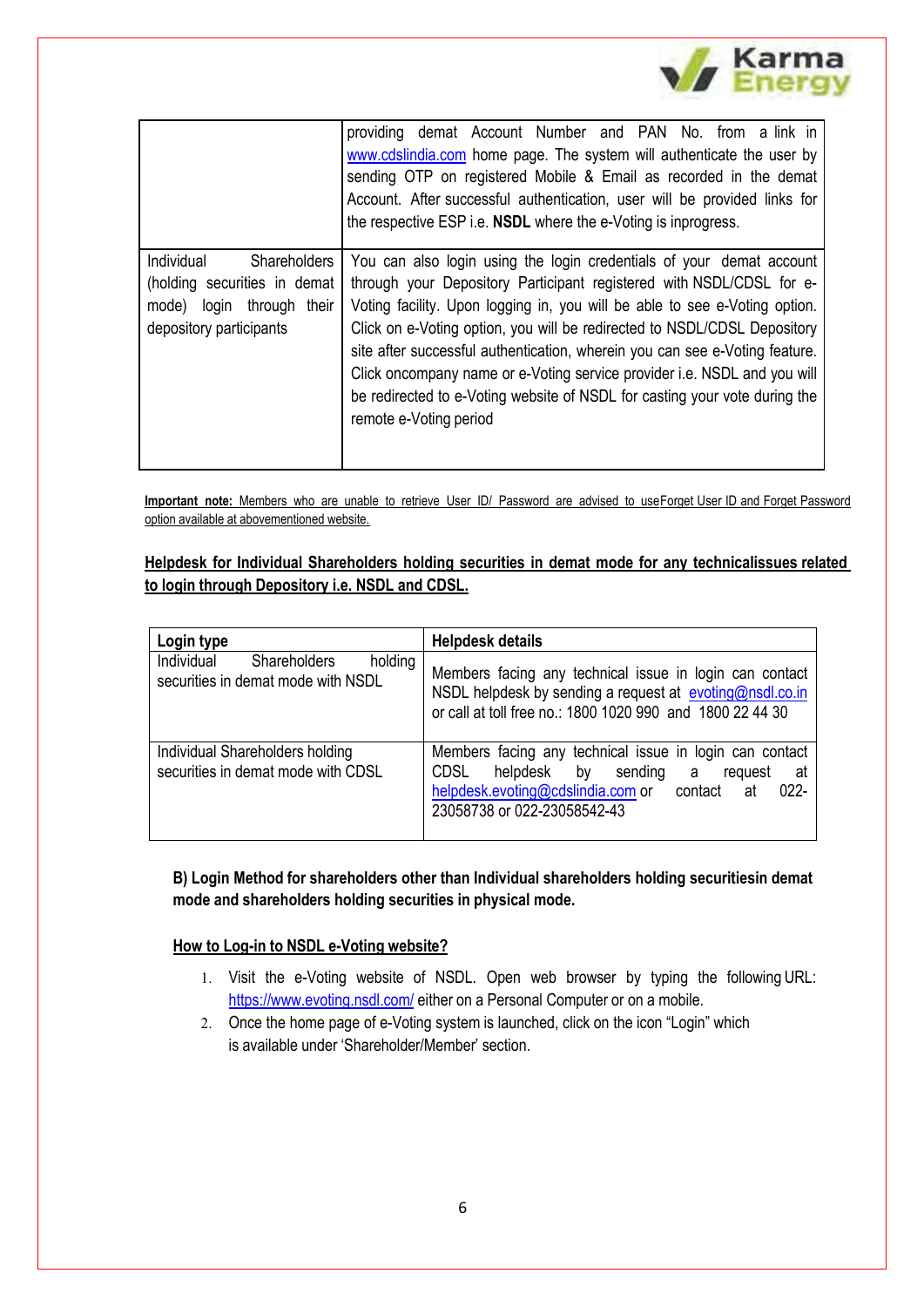|                                                                                                                       | providing demat Account Number and PAN No. from a link in<br>www.cdslindia.com home page. The system will authenticate the user by<br>sending OTP on registered Mobile & Email as recorded in the demat<br>Account. After successful authentication, user will be provided links for<br>the respective ESP i.e. <b>NSDL</b> where the e-Voting is inprogress.                                                                                                                                                                                                             |
|-----------------------------------------------------------------------------------------------------------------------|---------------------------------------------------------------------------------------------------------------------------------------------------------------------------------------------------------------------------------------------------------------------------------------------------------------------------------------------------------------------------------------------------------------------------------------------------------------------------------------------------------------------------------------------------------------------------|
| Individual<br>Shareholders<br>(holding securities in demat<br>login through their<br>mode)<br>depository participants | You can also login using the login credentials of your demat account<br>through your Depository Participant registered with NSDL/CDSL for e-<br>Voting facility. Upon logging in, you will be able to see e-Voting option.<br>Click on e-Voting option, you will be redirected to NSDL/CDSL Depository<br>site after successful authentication, wherein you can see e-Voting feature.<br>Click oncompany name or e-Voting service provider i.e. NSDL and you will<br>be redirected to e-Voting website of NSDL for casting your vote during the<br>remote e-Voting period |

**// Karma** 

**Important note:** Members who are unable to retrieve User ID/ Password are advised to useForget User ID and Forget Password option available at abovementioned website.

### **Helpdesk for Individual Shareholders holding securities in demat mode for any technicalissues related to login through Depository i.e. NSDL and CDSL.**

| Login type                                                                         | <b>Helpdesk details</b>                                                                                                                                                                                      |
|------------------------------------------------------------------------------------|--------------------------------------------------------------------------------------------------------------------------------------------------------------------------------------------------------------|
| Individual<br><b>Shareholders</b><br>holding<br>securities in demat mode with NSDL | Members facing any technical issue in login can contact<br>NSDL helpdesk by sending a request at evoting@nsdl.co.in<br>or call at toll free no.: 1800 1020 990 and 1800 22 44 30                             |
| Individual Shareholders holding<br>securities in demat mode with CDSL              | Members facing any technical issue in login can contact<br>CDSL<br>helpdesk<br>by sending<br>a<br>request<br>at<br>helpdesk.evoting@cdslindia.com or contact<br>$022 -$<br>at<br>23058738 or 022-23058542-43 |

**B) Login Method for shareholders other than Individual shareholders holding securitiesin demat mode and shareholders holding securities in physical mode.**

### **How to Log-in to NSDL e-Voting website?**

- 1. Visit the e-Voting website of NSDL. Open web browser by typing the following URL: <https://www.evoting.nsdl.com/> either on a Personal Computer or on a mobile.
- 2. Once the home page of e-Voting system is launched, click on the icon "Login" which is available under 'Shareholder/Member' section.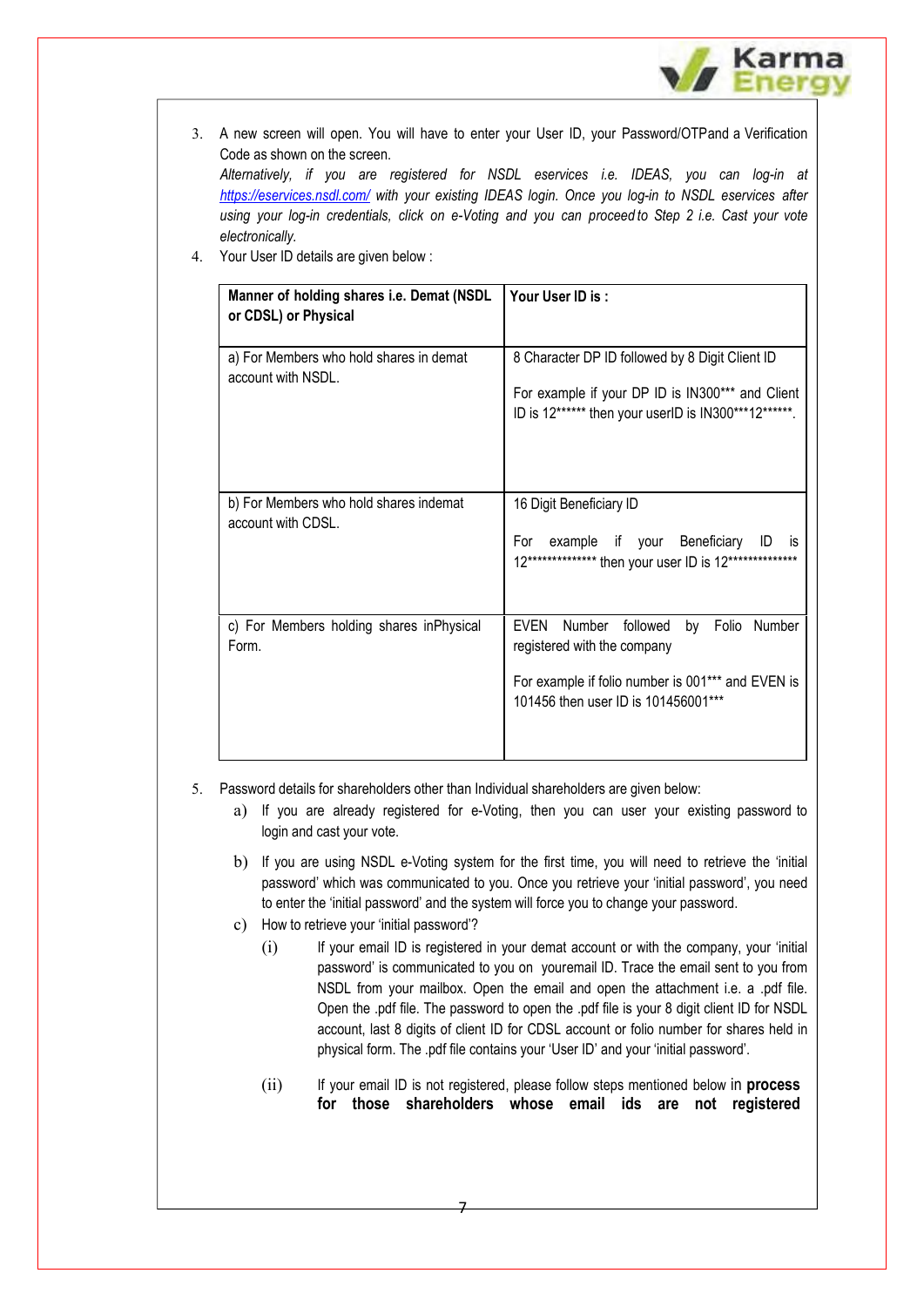

3. A new screen will open. You will have to enter your User ID, your Password/OTPand a Verification Code as shown on the screen.

*Alternatively, if you are registered for NSDL eservices i.e. IDEAS, you can log-in at <https://eservices.nsdl.com/> with your existing IDEAS login. Once you log-in to NSDL eservices after using your log-in credentials, click on e-Voting and you can proceed to Step 2 i.e. Cast your vote electronically.*

4. Your User ID details are given below :

| Manner of holding shares i.e. Demat (NSDL<br>or CDSL) or Physical | Your User ID is:                                                                                                                                                      |
|-------------------------------------------------------------------|-----------------------------------------------------------------------------------------------------------------------------------------------------------------------|
| a) For Members who hold shares in demat<br>account with NSDL.     | 8 Character DP ID followed by 8 Digit Client ID<br>For example if your DP ID is IN300*** and Client<br>ID is 12****** then your userID is IN300***12******.           |
| b) For Members who hold shares indemat<br>account with CDSL.      | 16 Digit Beneficiary ID<br>example if your Beneficiary<br>For<br>ID<br>İS<br>12************** then your user ID is 12**************                                   |
| c) For Members holding shares inPhysical<br>Form.                 | EVEN Number followed<br>by<br>Folio Number<br>registered with the company<br>For example if folio number is 001*** and EVEN is<br>101456 then user ID is 101456001*** |

5. Password details for shareholders other than Individual shareholders are given below:

- a) If you are already registered for e-Voting, then you can user your existing password to login and cast your vote.
- b) If you are using NSDL e-Voting system for the first time, you will need to retrieve the 'initial password' which was communicated to you. Once you retrieve your 'initial password', you need to enter the 'initial password' and the system will force you to change your password.
- c) How to retrieve your 'initial password'?
	- (i) If your email ID is registered in your demat account or with the company, your 'initial password' is communicated to you on youremail ID. Trace the email sent to you from NSDL from your mailbox. Open the email and open the attachment i.e. a .pdf file. Open the .pdf file. The password to open the .pdf file is your 8 digit client ID for NSDL account, last 8 digits of client ID for CDSL account or folio number for shares held in physical form. The .pdf file contains your 'User ID' and your 'initial password'.
	- (ii) If your email ID is not registered, please follow steps mentioned below in **process for those shareholders whose email ids are not registered**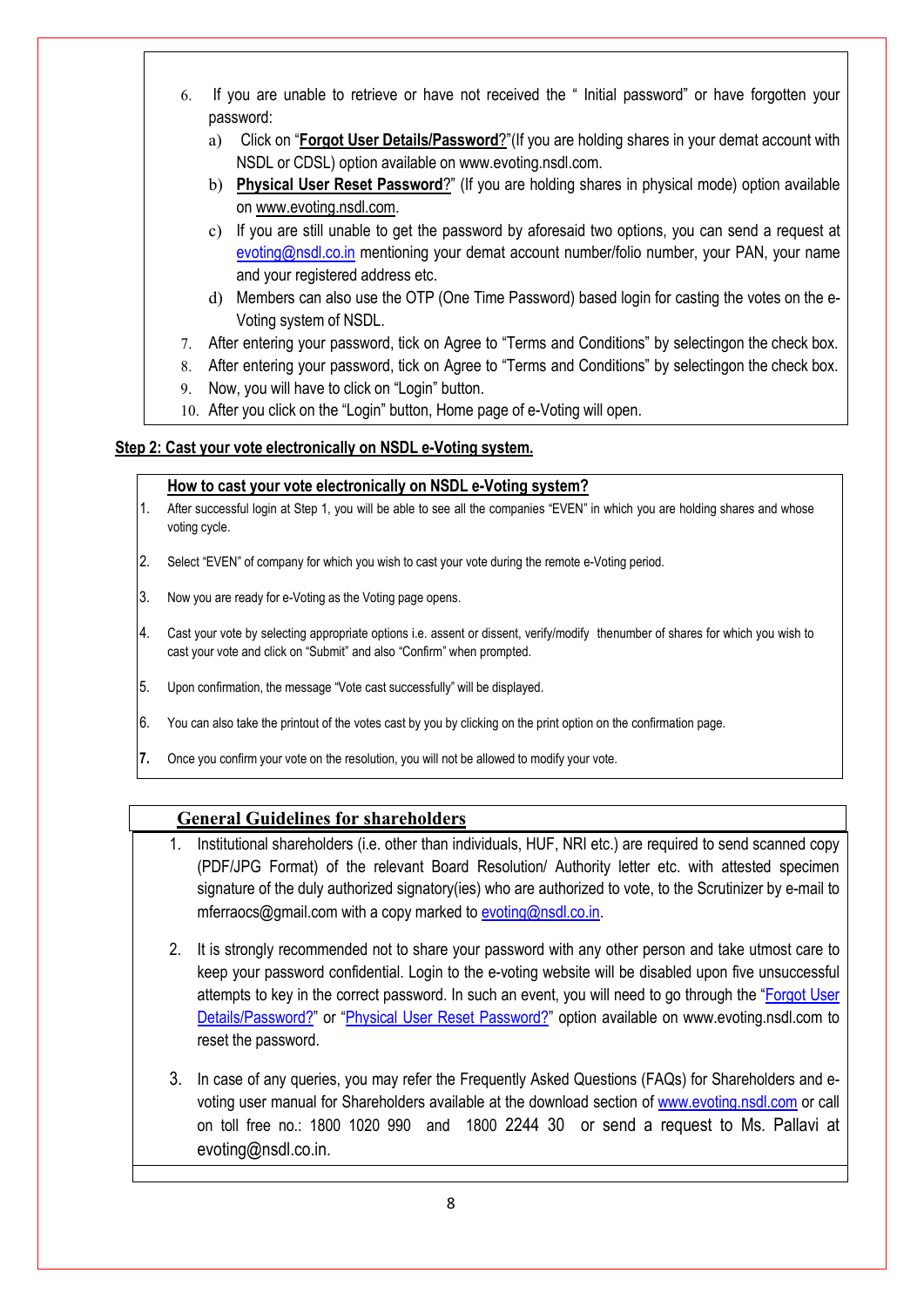- 6. If you are unable to retrieve or have not received the " Initial password" or have forgotten your password:
	- a) Click on "**[Forgot User Details/Password](https://www.evoting.nsdl.com/eVotingWeb/commonhtmls/NewUser.jsp)**?"(If you are holding shares in your demat account with NSDL or CDSL) option available on [www.evoting.nsdl.com.](http://www.evoting.nsdl.com/)
	- b) **[Physical User Reset Password](https://www.evoting.nsdl.com/eVotingWeb/commonhtmls/PhysicalUser.jsp)**?" (If you are holding shares in physical mode) option available on [www.evoting.nsdl.com.](http://www.evoting.nsdl.com/)
	- c) If you are still unable to get the password by aforesaid two options, you can send a request at [evoting@nsdl.co.in](mailto:evoting@nsdl.co.in) mentioning your demat account number/folio number, your PAN, your name and your registered address etc.
	- d) Members can also use the OTP (One Time Password) based login for casting the votes on the e-Voting system of NSDL.
- 7. After entering your password, tick on Agree to "Terms and Conditions" by selectingon the check box.
- 8. After entering your password, tick on Agree to "Terms and Conditions" by selectingon the check box.
- 9. Now, you will have to click on "Login" button.
- 10. After you click on the "Login" button, Home page of e-Voting will open.

### **Step 2: Cast your vote electronically on NSDL e-Voting system.**

#### **How to cast your vote electronically on NSDL e-Voting system?**

- 1. After successful login at Step 1, you will be able to see all the companies "EVEN" in which you are holding shares and whose voting cycle.
- 2. Select "EVEN" of company for which you wish to cast your vote during the remote e-Voting period.
- 3. Now you are ready for e-Voting as the Voting page opens.
- 4. Cast your vote by selecting appropriate options i.e. assent or dissent, verify/modify thenumber of shares for which you wish to cast your vote and click on "Submit" and also "Confirm" when prompted.
- 5. Upon confirmation, the message "Vote cast successfully" will be displayed.
- 6. You can also take the printout of the votes cast by you by clicking on the print option on the confirmation page.
- **7.** Once you confirm your vote on the resolution, you will not be allowed to modify your vote.

### **General Guidelines for shareholders**

- 1. Institutional shareholders (i.e. other than individuals, HUF, NRI etc.) are required to send scanned copy (PDF/JPG Format) of the relevant Board Resolution/ Authority letter etc. with attested specimen signature of the duly authorized signatory(ies) who are authorized to vote, to the Scrutinizer by e-mail to mferraocs@gmail.com with a copy marked to [evoting@nsdl.co.in.](mailto:evoting@nsdl.co.in)
- 2. It is strongly recommended not to share your password with any other person and take utmost care to keep your password confidential. Login to the e-voting website will be disabled upon five unsuccessful attempts to key in the correct password. In such an event, you will need to go through the ["Forgot User](https://www.evoting.nsdl.com/eVotingWeb/commonhtmls/NewUser.jsp)  [Details/Password?"](https://www.evoting.nsdl.com/eVotingWeb/commonhtmls/NewUser.jsp) or ["Physical User Reset Password?"](https://www.evoting.nsdl.com/eVotingWeb/commonhtmls/PhysicalUser.jsp) option available on www.evoting.nsdl.com to reset the password.
- 3. In case of any queries, you may refer the Frequently Asked Questions (FAQs) for Shareholders and evoting user manual for Shareholders available at the download section of [www.evoting.nsdl.com](http://www.evoting.nsdl.com/) or call on toll free no.: 1800 1020 990 and 1800 2244 30 or send a request to Ms. Pallavi at evoting@nsdl.co.in.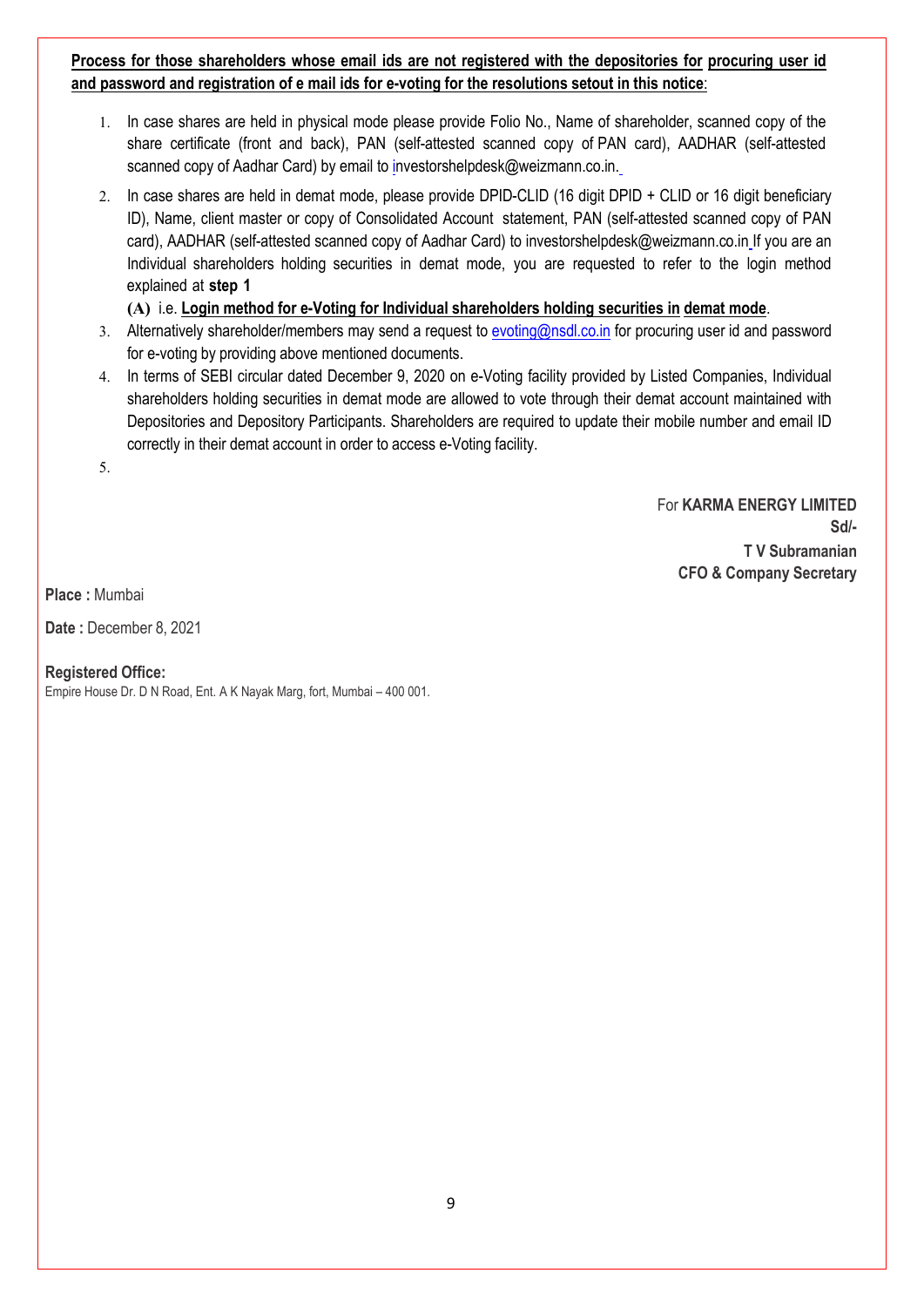**Process for those shareholders whose email ids are not registered with the depositories for procuring user id and password and registration of e mail ids for e-voting for the resolutions setout in this notice**:

- 1. In case shares are held in physical mode please provide Folio No., Name of shareholder, scanned copy of the share certificate (front and back), PAN (self-attested scanned copy of PAN card), AADHAR (self-attested scanned copy of Aadhar Card) by email to [investorshelpdesk@weizmann.co.in.](mailto:investorshelpdesk@weizmann.co.in.)
- 2. In case shares are held in demat mode, please provide DPID-CLID (16 digit DPID + CLID or 16 digit beneficiary ID), Name, client master or copy of Consolidated Account statement, PAN (self-attested scanned copy of PAN card), AADHAR (self-attested scanned copy of Aadhar Card) to [investorshelpdesk@weizmann.co.in](mailto:investorshelpdesk@weizmann.co.in)\_lf you are an Individual shareholders holding securities in demat mode, you are requested to refer to the login method explained at **step 1**

**(A)** i.e. **Login method for e-Voting for Individual shareholders holding securities in demat mode**.

- 3. Alternatively shareholder/members may send a request to [evoting@nsdl.co.in](mailto:evoting@nsdl.co.in) for procuring user id and password for e-voting by providing above mentioned documents.
- 4. In terms of SEBI circular dated December 9, 2020 on e-Voting facility provided by Listed Companies, Individual shareholders holding securities in demat mode are allowed to vote through their demat account maintained with Depositories and Depository Participants. Shareholders are required to update their mobile number and email ID correctly in their demat account in order to access e-Voting facility.

5.

For **KARMA ENERGY LIMITED Sd/- T V Subramanian CFO & Company Secretary**

**Place :** Mumbai

**Date :** December 8, 2021

### **Registered Office:**

Empire House Dr. D N Road, Ent. A K Nayak Marg, fort, Mumbai – 400 001.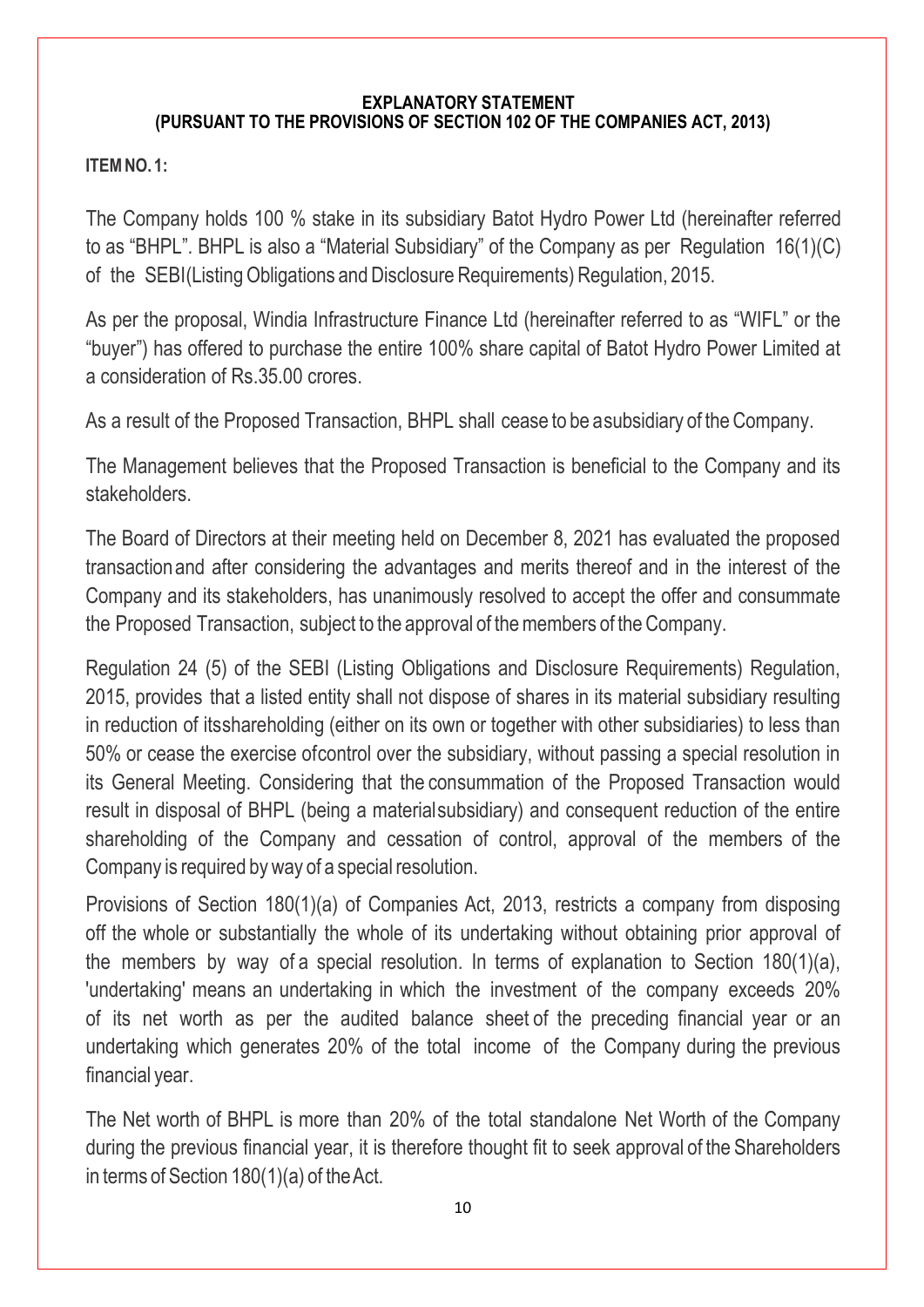### **EXPLANATORY STATEMENT (PURSUANT TO THE PROVISIONS OF SECTION 102 OF THE COMPANIES ACT, 2013)**

### **ITEMNO. 1:**

The Company holds 100 % stake in its subsidiary Batot Hydro Power Ltd (hereinafter referred to as "BHPL". BHPL is also a "Material Subsidiary" of the Company as per Regulation 16(1)(C) of the SEBI(Listing Obligations and Disclosure Requirements) Regulation, 2015.

As per the proposal, Windia Infrastructure Finance Ltd (hereinafter referred to as "WIFL" or the "buyer") has offered to purchase the entire 100% share capital of Batot Hydro Power Limited at a consideration of Rs.35.00 crores.

As a result of the Proposed Transaction, BHPL shall cease to be a subsidiary of theCompany.

The Management believes that the Proposed Transaction is beneficial to the Company and its stakeholders.

The Board of Directors at their meeting held on December 8, 2021 has evaluated the proposed transactionand after considering the advantages and merits thereof and in the interest of the Company and its stakeholders, has unanimously resolved to accept the offer and consummate the Proposed Transaction, subject to the approval of the members of the Company.

Regulation 24 (5) of the SEBI (Listing Obligations and Disclosure Requirements) Regulation, 2015, provides that a listed entity shall not dispose of shares in its material subsidiary resulting in reduction of itsshareholding (either on its own or together with other subsidiaries) to less than 50% or cease the exercise ofcontrol over the subsidiary, without passing a special resolution in its General Meeting. Considering that the consummation of the Proposed Transaction would result in disposal of BHPL (being a materialsubsidiary) and consequent reduction of the entire shareholding of the Company and cessation of control, approval of the members of the Company is required by way of a special resolution.

Provisions of Section 180(1)(a) of Companies Act, 2013, restricts a company from disposing off the whole or substantially the whole of its undertaking without obtaining prior approval of the members by way of a special resolution. In terms of explanation to Section 180(1)(a), 'undertaking' means an undertaking in which the investment of the company exceeds 20% of its net worth as per the audited balance sheet of the preceding financial year or an undertaking which generates 20% of the total income of the Company during the previous financial year.

The Net worth of BHPL is more than 20% of the total standalone Net Worth of the Company during the previous financial year, it is therefore thought fit to seek approval of the Shareholders in terms of Section  $180(1)(a)$  of the Act.